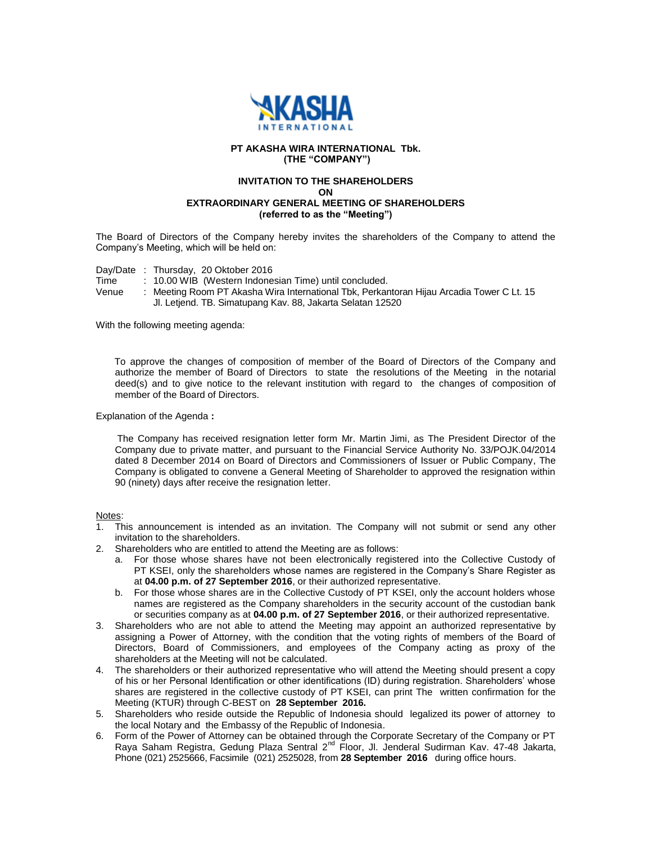

## **PT AKASHA WIRA INTERNATIONAL Tbk. (THE "COMPANY")**

## **INVITATION TO THE SHAREHOLDERS ON EXTRAORDINARY GENERAL MEETING OF SHAREHOLDERS (referred to as the "Meeting")**

The Board of Directors of the Company hereby invites the shareholders of the Company to attend the Company's Meeting, which will be held on:

Day/Date : Thursday, 20 Oktober 2016

Time : 10.00 WIB (Western Indonesian Time) until concluded.

Venue : Meeting Room PT Akasha Wira International Tbk, Perkantoran Hijau Arcadia Tower C Lt. 15 Jl. Letjend. TB. Simatupang Kav. 88, Jakarta Selatan 12520

With the following meeting agenda:

 To approve the changes of composition of member of the Board of Directors of the Company and authorize the member of Board of Directors to state the resolutions of the Meeting in the notarial deed(s) and to give notice to the relevant institution with regard to the changes of composition of member of the Board of Directors.

Explanation of the Agenda **:** 

 The Company has received resignation letter form Mr. Martin Jimi, as The President Director of the Company due to private matter, and pursuant to the Financial Service Authority No. 33/POJK.04/2014 dated 8 December 2014 on Board of Directors and Commissioners of Issuer or Public Company, The Company is obligated to convene a General Meeting of Shareholder to approved the resignation within 90 (ninety) days after receive the resignation letter.

Notes:

- 1. This announcement is intended as an invitation. The Company will not submit or send any other invitation to the shareholders.
- 2. Shareholders who are entitled to attend the Meeting are as follows:
	- a. For those whose shares have not been electronically registered into the Collective Custody of PT KSEI, only the shareholders whose names are registered in the Company's Share Register as at **04.00 p.m. of 27 September 2016**, or their authorized representative.
	- b. For those whose shares are in the Collective Custody of PT KSEI, only the account holders whose names are registered as the Company shareholders in the security account of the custodian bank or securities company as at **04.00 p.m. of 27 September 2016**, or their authorized representative.
- 3. Shareholders who are not able to attend the Meeting may appoint an authorized representative by assigning a Power of Attorney, with the condition that the voting rights of members of the Board of Directors, Board of Commissioners, and employees of the Company acting as proxy of the shareholders at the Meeting will not be calculated.
- 4. The shareholders or their authorized representative who will attend the Meeting should present a copy of his or her Personal Identification or other identifications (ID) during registration. Shareholders' whose shares are registered in the collective custody of PT KSEI, can print The written confirmation for the Meeting (KTUR) through C-BEST on **28 September 2016.**
- 5. Shareholders who reside outside the Republic of Indonesia should legalized its power of attorney to the local Notary and the Embassy of the Republic of Indonesia.
- 6. Form of the Power of Attorney can be obtained through the Corporate Secretary of the Company or PT Raya Saham Registra, Gedung Plaza Sentral 2<sup>nd</sup> Floor, Jl. Jenderal Sudirman Kav. 47-48 Jakarta, Phone (021) 2525666, Facsimile (021) 2525028, from **28 September 2016** during office hours.